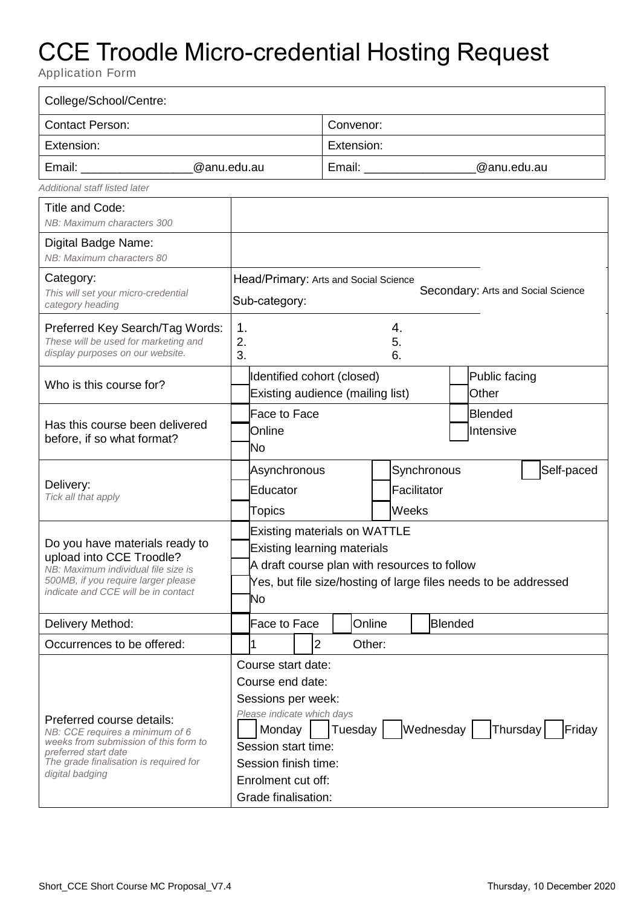## CCE Troodle Micro-credential Hosting Request

Application Form

| College/School/Centre:                                                                                                                                                                     |                                                                                                                                                                                                                                                    |                     |                                  |        |                                     |                             |  |            |  |
|--------------------------------------------------------------------------------------------------------------------------------------------------------------------------------------------|----------------------------------------------------------------------------------------------------------------------------------------------------------------------------------------------------------------------------------------------------|---------------------|----------------------------------|--------|-------------------------------------|-----------------------------|--|------------|--|
| <b>Contact Person:</b>                                                                                                                                                                     |                                                                                                                                                                                                                                                    |                     | Convenor:                        |        |                                     |                             |  |            |  |
| Extension:                                                                                                                                                                                 |                                                                                                                                                                                                                                                    |                     | Extension:                       |        |                                     |                             |  |            |  |
| @anu.edu.au                                                                                                                                                                                |                                                                                                                                                                                                                                                    |                     | Email: __________<br>@anu.edu.au |        |                                     |                             |  |            |  |
| Additional staff listed later                                                                                                                                                              |                                                                                                                                                                                                                                                    |                     |                                  |        |                                     |                             |  |            |  |
| Title and Code:<br>NB: Maximum characters 300                                                                                                                                              |                                                                                                                                                                                                                                                    |                     |                                  |        |                                     |                             |  |            |  |
| Digital Badge Name:<br>NB: Maximum characters 80                                                                                                                                           |                                                                                                                                                                                                                                                    |                     |                                  |        |                                     |                             |  |            |  |
| Category:<br>This will set your micro-credential<br>category heading                                                                                                                       | Head/Primary: Arts and Social Science<br>Secondary: Arts and Social Science<br>Sub-category:                                                                                                                                                       |                     |                                  |        |                                     |                             |  |            |  |
| Preferred Key Search/Tag Words:<br>These will be used for marketing and<br>display purposes on our website.                                                                                | 1.<br>4.<br>2.<br>5.<br>3.<br>6.                                                                                                                                                                                                                   |                     |                                  |        |                                     |                             |  |            |  |
| Who is this course for?                                                                                                                                                                    | Identified cohort (closed)<br>Public facing<br>Existing audience (mailing list)<br>Other                                                                                                                                                           |                     |                                  |        |                                     |                             |  |            |  |
| Has this course been delivered<br>before, if so what format?                                                                                                                               | Online<br>No                                                                                                                                                                                                                                       | <b>Face to Face</b> |                                  |        |                                     | <b>Blended</b><br>Intensive |  |            |  |
| Delivery:<br>Tick all that apply                                                                                                                                                           | Asynchronous<br>Educator<br><b>Topics</b>                                                                                                                                                                                                          |                     |                                  |        | Synchronous<br>Facilitator<br>Weeks |                             |  | Self-paced |  |
| Do you have materials ready to<br>upload into CCE Troodle?<br>NB: Maximum individual file size is<br>500MB, if you require larger please<br>indicate and CCE will be in contact            | <b>Existing materials on WATTLE</b><br><b>Existing learning materials</b><br>A draft course plan with resources to follow<br>Yes, but file size/hosting of large files needs to be addressed<br>No                                                 |                     |                                  |        |                                     |                             |  |            |  |
| Delivery Method:                                                                                                                                                                           | Face to Face                                                                                                                                                                                                                                       |                     |                                  | Online |                                     | Blended                     |  |            |  |
| Occurrences to be offered:                                                                                                                                                                 |                                                                                                                                                                                                                                                    | 2                   |                                  | Other: |                                     |                             |  |            |  |
| Preferred course details:<br>NB: CCE requires a minimum of 6<br>weeks from submission of this form to<br>preferred start date<br>The grade finalisation is required for<br>digital badging | Course start date:<br>Course end date:<br>Sessions per week:<br>Please indicate which days<br>Wednesday  <br>Thursday<br>Tuesday  <br>Monday<br>Friday<br>Session start time:<br>Session finish time:<br>Enrolment cut off:<br>Grade finalisation: |                     |                                  |        |                                     |                             |  |            |  |